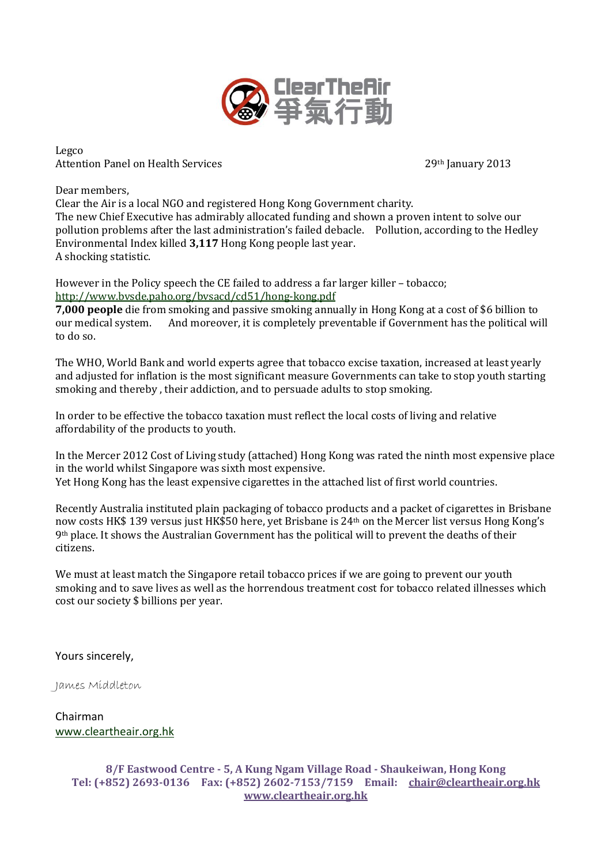

Legco Attention Panel on Health Services 29th January 2013

Dear members,

Clear the Air is a local NGO and registered Hong Kong Government charity. The new Chief Executive has admirably allocated funding and shown a proven intent to solve our pollution problems after the last administration's failed debacle. Pollution, according to the Hedley Environmental Index killed **3,117** Hong Kong people last year. A shocking statistic.

However in the Policy speech the CE failed to address a far larger killer – tobacco; <http://www.bvsde.paho.org/bvsacd/cd51/hong-kong.pdf>

**7,000 people** die from smoking and passive smoking annually in Hong Kong at a cost of \$6 billion to our medical system. And moreover, it is completely preventable if Government has the political will to do so.

The WHO, World Bank and world experts agree that tobacco excise taxation, increased at least yearly and adjusted for inflation is the most significant measure Governments can take to stop youth starting smoking and thereby , their addiction, and to persuade adults to stop smoking.

In order to be effective the tobacco taxation must reflect the local costs of living and relative affordability of the products to youth.

In the Mercer 2012 Cost of Living study (attached) Hong Kong was rated the ninth most expensive place in the world whilst Singapore was sixth most expensive. Yet Hong Kong has the least expensive cigarettes in the attached list of first world countries.

Recently Australia instituted plain packaging of tobacco products and a packet of cigarettes in Brisbane now costs HK\$ 139 versus just HK\$50 here, yet Brisbane is 24th on the Mercer list versus Hong Kong's 9th place. It shows the Australian Government has the political will to prevent the deaths of their citizens.

We must at least match the Singapore retail tobacco prices if we are going to prevent our youth smoking and to save lives as well as the horrendous treatment cost for tobacco related illnesses which cost our society \$ billions per year.

Yours sincerely,

James Middleton

Chairman [www.cleartheair.org.hk](http://www.cleartheair.org.hk/)

> **8/F Eastwood Centre - 5, A Kung Ngam Village Road - Shaukeiwan, Hong Kong Tel: (+852) 2693-0136 Fax: (+852) 2602-7153/7159 Email: chair@cleartheair.org.hk www.cleartheair.org.hk**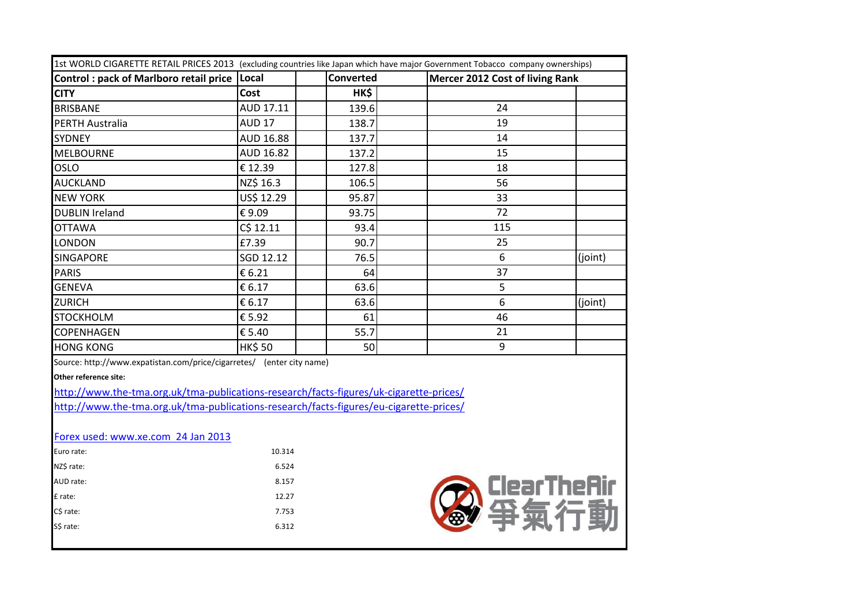| 1st WORLD CIGARETTE RETAIL PRICES 2013 (excluding countries like Japan which have major Government Tobacco company ownerships) |               |           |                                 |         |
|--------------------------------------------------------------------------------------------------------------------------------|---------------|-----------|---------------------------------|---------|
| <b>Control: pack of Marlboro retail price</b>                                                                                  | Local         | Converted | Mercer 2012 Cost of living Rank |         |
| <b>CITY</b>                                                                                                                    | Cost          | HK\$      |                                 |         |
| <b>BRISBANE</b>                                                                                                                | AUD 17.11     | 139.6     | 24                              |         |
| <b>PERTH Australia</b>                                                                                                         | <b>AUD 17</b> | 138.7     | 19                              |         |
| <b>SYDNEY</b>                                                                                                                  | AUD 16.88     | 137.7     | 14                              |         |
| <b>MELBOURNE</b>                                                                                                               | AUD 16.82     | 137.2     | 15                              |         |
| OSLO                                                                                                                           | € 12.39       | 127.8     | 18                              |         |
| <b>AUCKLAND</b>                                                                                                                | NZ\$ 16.3     | 106.5     | 56                              |         |
| <b>NEW YORK</b>                                                                                                                | US\$ 12.29    | 95.87     | 33                              |         |
| <b>DUBLIN Ireland</b>                                                                                                          | €9.09         | 93.75     | 72                              |         |
| <b>OTTAWA</b>                                                                                                                  | C\$ 12.11     | 93.4      | 115                             |         |
| LONDON                                                                                                                         | £7.39         | 90.7      | 25                              |         |
| <b>SINGAPORE</b>                                                                                                               | SGD 12.12     | 76.5      | 6                               | (joint) |
| <b>PARIS</b>                                                                                                                   | € 6.21        | 64        | 37                              |         |
| <b>GENEVA</b>                                                                                                                  | € 6.17        | 63.6      | 5                               |         |
| <b>ZURICH</b>                                                                                                                  | € 6.17        | 63.6      | 6                               | (joint) |
| <b>STOCKHOLM</b>                                                                                                               | € 5.92        | 61        | 46                              |         |
| <b>COPENHAGEN</b>                                                                                                              | € 5.40        | 55.7      | 21                              |         |
| <b>HONG KONG</b>                                                                                                               | <b>HK\$50</b> | 50        | 9                               |         |
| Source: http://www.expatistan.com/price/cigarretes/ (enter city name)                                                          |               |           |                                 |         |

**Other reference site:** 

<http://www.the-tma.org.uk/tma-publications-research/facts-figures/uk-cigarette-prices/> <http://www.the-tma.org.uk/tma-publications-research/facts-figures/eu-cigarette-prices/>

### [Forex used: www.xe.com 24 Jan 2013](http://www.xe.com/)

| Euro rate: | 10.314 |
|------------|--------|
| NZ\$ rate: | 6.524  |
| AUD rate:  | 8.157  |
| £ rate:    | 12.27  |
| C\$ rate:  | 7.753  |
| S\$ rate:  | 6.312  |
|            |        |

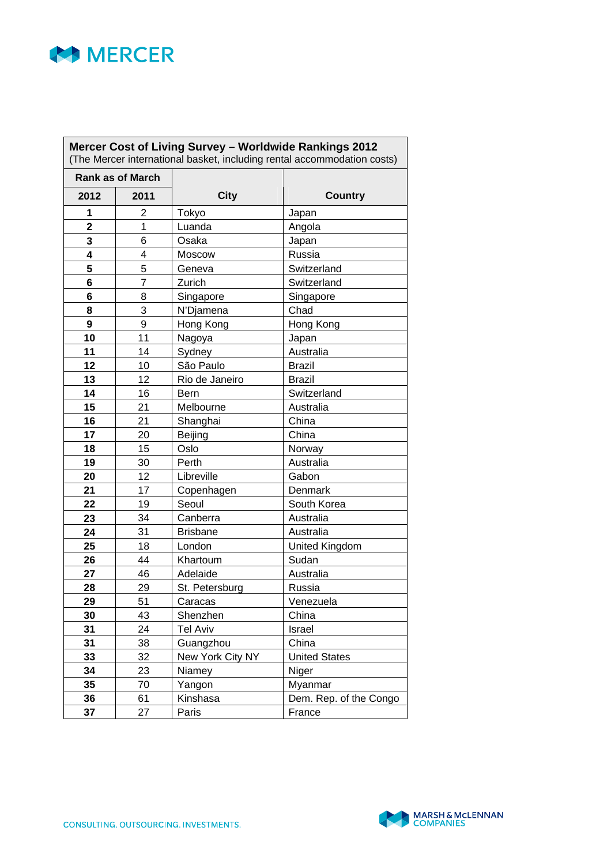

| Mercer Cost of Living Survey - Worldwide Rankings 2012<br>(The Mercer international basket, including rental accommodation costs) |                         |                  |                        |
|-----------------------------------------------------------------------------------------------------------------------------------|-------------------------|------------------|------------------------|
|                                                                                                                                   | <b>Rank as of March</b> |                  |                        |
| 2012                                                                                                                              | 2011                    | <b>City</b>      | <b>Country</b>         |
| 1                                                                                                                                 | 2                       | Tokyo            | Japan                  |
| $\overline{2}$                                                                                                                    | 1                       | Luanda           | Angola                 |
| 3                                                                                                                                 | 6                       | Osaka            | Japan                  |
| 4                                                                                                                                 | 4                       | Moscow           | Russia                 |
| 5                                                                                                                                 | 5                       | Geneva           | Switzerland            |
| 6                                                                                                                                 | $\overline{7}$          | Zurich           | Switzerland            |
| 6                                                                                                                                 | 8                       | Singapore        | Singapore              |
| 8                                                                                                                                 | 3                       | N'Djamena        | Chad                   |
| 9                                                                                                                                 | $\boldsymbol{9}$        | Hong Kong        | Hong Kong              |
| 10                                                                                                                                | 11                      | Nagoya           | Japan                  |
| 11                                                                                                                                | 14                      | Sydney           | Australia              |
| 12                                                                                                                                | 10                      | São Paulo        | <b>Brazil</b>          |
| 13                                                                                                                                | 12                      | Rio de Janeiro   | <b>Brazil</b>          |
| 14                                                                                                                                | 16                      | Bern             | Switzerland            |
| 15                                                                                                                                | 21                      | Melbourne        | Australia              |
| 16                                                                                                                                | 21                      | Shanghai         | China                  |
| 17                                                                                                                                | 20                      | Beijing          | China                  |
| 18                                                                                                                                | 15                      | Oslo             | Norway                 |
| 19                                                                                                                                | 30                      | Perth            | Australia              |
| 20                                                                                                                                | 12                      | Libreville       | Gabon                  |
| 21                                                                                                                                | 17                      | Copenhagen       | Denmark                |
| 22                                                                                                                                | 19                      | Seoul            | South Korea            |
| 23                                                                                                                                | 34                      | Canberra         | Australia              |
| 24                                                                                                                                | 31                      | <b>Brisbane</b>  | Australia              |
| 25                                                                                                                                | 18                      | London           | <b>United Kingdom</b>  |
| 26                                                                                                                                | 44                      | Khartoum         | Sudan                  |
| 27                                                                                                                                | 46                      | Adelaide         | Australia              |
| 28                                                                                                                                | 29                      | St. Petersburg   | Russia                 |
| 29                                                                                                                                | 51                      | Caracas          | Venezuela              |
| 30                                                                                                                                | 43                      | Shenzhen         | China                  |
| 31                                                                                                                                | 24                      | <b>Tel Aviv</b>  | Israel                 |
| 31                                                                                                                                | 38                      | Guangzhou        | China                  |
| 33                                                                                                                                | 32                      | New York City NY | <b>United States</b>   |
| 34                                                                                                                                | 23                      | Niamey           | Niger                  |
| 35                                                                                                                                | 70                      | Yangon           | Myanmar                |
| 36                                                                                                                                | 61                      | Kinshasa         | Dem. Rep. of the Congo |
| 37                                                                                                                                | 27                      | Paris            | France                 |

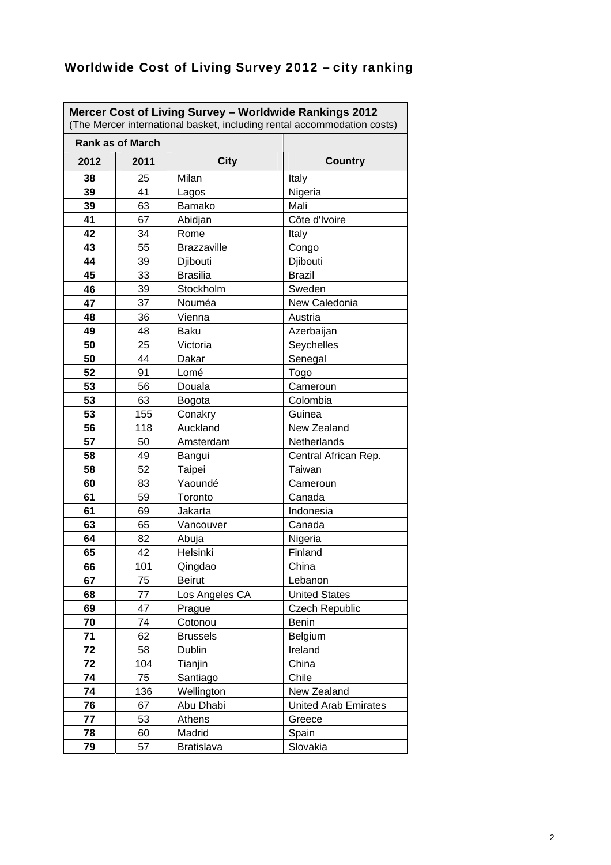| Mercer Cost of Living Survey - Worldwide Rankings 2012<br>(The Mercer international basket, including rental accommodation costs) |      |                    |                             |  |
|-----------------------------------------------------------------------------------------------------------------------------------|------|--------------------|-----------------------------|--|
| <b>Rank as of March</b>                                                                                                           |      |                    |                             |  |
| 2012                                                                                                                              | 2011 | <b>City</b>        | <b>Country</b>              |  |
| 38                                                                                                                                | 25   | Milan              | Italy                       |  |
| 39                                                                                                                                | 41   | Lagos              | Nigeria                     |  |
| 39                                                                                                                                | 63   | Bamako             | Mali                        |  |
| 41                                                                                                                                | 67   | Abidjan            | Côte d'Ivoire               |  |
| 42                                                                                                                                | 34   | Rome               | Italy                       |  |
| 43                                                                                                                                | 55   | <b>Brazzaville</b> | Congo                       |  |
| 44                                                                                                                                | 39   | Djibouti           | Djibouti                    |  |
| 45                                                                                                                                | 33   | <b>Brasilia</b>    | <b>Brazil</b>               |  |
| 46                                                                                                                                | 39   | Stockholm          | Sweden                      |  |
| 47                                                                                                                                | 37   | Nouméa             | New Caledonia               |  |
| 48                                                                                                                                | 36   | Vienna             | Austria                     |  |
| 49                                                                                                                                | 48   | <b>Baku</b>        | Azerbaijan                  |  |
| 50                                                                                                                                | 25   | Victoria           | Seychelles                  |  |
| 50                                                                                                                                | 44   | Dakar              | Senegal                     |  |
| 52                                                                                                                                | 91   | Lomé               | Togo                        |  |
| 53                                                                                                                                | 56   | Douala             | Cameroun                    |  |
| 53                                                                                                                                | 63   | Bogota             | Colombia                    |  |
| 53                                                                                                                                | 155  | Conakry            | Guinea                      |  |
| 56                                                                                                                                | 118  | Auckland           | New Zealand                 |  |
| 57                                                                                                                                | 50   | Amsterdam          | Netherlands                 |  |
| 58                                                                                                                                | 49   | Bangui             | Central African Rep.        |  |
| 58                                                                                                                                | 52   | Taipei             | Taiwan                      |  |
| 60                                                                                                                                | 83   | Yaoundé            | Cameroun                    |  |
| 61                                                                                                                                | 59   | Toronto            | Canada                      |  |
| 61                                                                                                                                | 69   | Jakarta            | Indonesia                   |  |
| 63                                                                                                                                | 65   | Vancouver          | Canada                      |  |
| 64                                                                                                                                | 82   | Abuja              | Nigeria                     |  |
| 65                                                                                                                                | 42   | Helsinki           | Finland                     |  |
| 66                                                                                                                                | 101  | Qingdao            | China                       |  |
| 67                                                                                                                                | 75   | <b>Beirut</b>      | Lebanon                     |  |
| 68                                                                                                                                | 77   | Los Angeles CA     | <b>United States</b>        |  |
| 69                                                                                                                                | 47   | Prague             | <b>Czech Republic</b>       |  |
| 70                                                                                                                                | 74   | Cotonou            | <b>Benin</b>                |  |
| 71                                                                                                                                | 62   | <b>Brussels</b>    | Belgium                     |  |
| 72                                                                                                                                | 58   | Dublin             | Ireland                     |  |
| 72                                                                                                                                | 104  | Tianjin            | China                       |  |
| 74                                                                                                                                | 75   | Santiago           | Chile                       |  |
| 74                                                                                                                                | 136  | Wellington         | New Zealand                 |  |
| 76                                                                                                                                | 67   | Abu Dhabi          | <b>United Arab Emirates</b> |  |
| 77                                                                                                                                | 53   | Athens             | Greece                      |  |
| 78                                                                                                                                | 60   | Madrid             | Spain                       |  |
| 79                                                                                                                                | 57   | <b>Bratislava</b>  | Slovakia                    |  |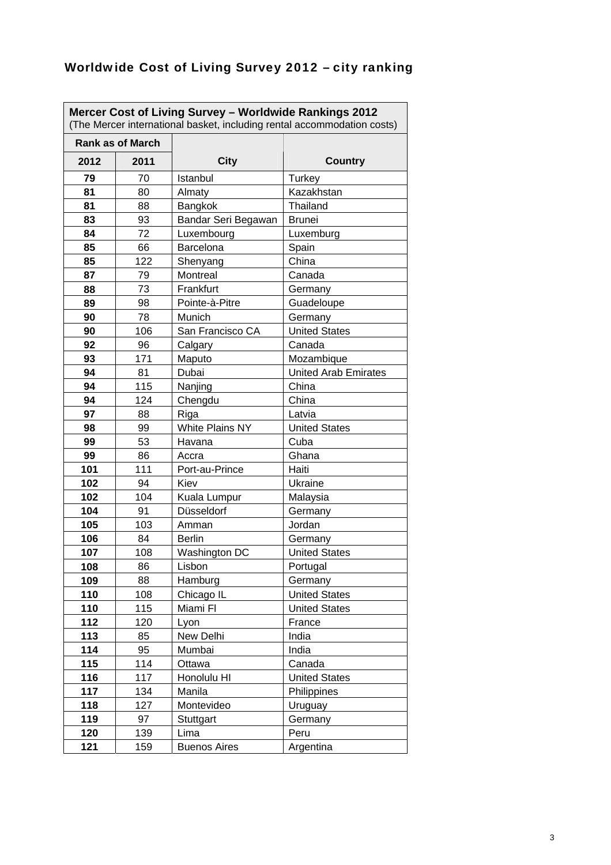| Mercer Cost of Living Survey - Worldwide Rankings 2012<br>(The Mercer international basket, including rental accommodation costs) |            |                        |                                |  |
|-----------------------------------------------------------------------------------------------------------------------------------|------------|------------------------|--------------------------------|--|
| <b>Rank as of March</b>                                                                                                           |            |                        |                                |  |
| 2012                                                                                                                              | 2011       | <b>City</b>            | <b>Country</b>                 |  |
| 79                                                                                                                                | 70         | Istanbul               | Turkey                         |  |
| 81                                                                                                                                | 80         | Almaty                 | Kazakhstan                     |  |
| 81                                                                                                                                | 88         | Bangkok                | Thailand                       |  |
| 83                                                                                                                                | 93         | Bandar Seri Begawan    | <b>Brunei</b>                  |  |
| 84                                                                                                                                | 72         | Luxembourg             | Luxemburg                      |  |
| 85                                                                                                                                | 66         | Barcelona              | Spain                          |  |
| 85                                                                                                                                | 122        | Shenyang               | China                          |  |
| 87                                                                                                                                | 79         | Montreal               | Canada                         |  |
| 88                                                                                                                                | 73         | Frankfurt              | Germany                        |  |
| 89                                                                                                                                | 98         | Pointe-à-Pitre         | Guadeloupe                     |  |
| 90                                                                                                                                | 78         | Munich                 | Germany                        |  |
| 90                                                                                                                                | 106        | San Francisco CA       | <b>United States</b>           |  |
| 92                                                                                                                                | 96         | Calgary                | Canada                         |  |
| 93                                                                                                                                | 171        | Maputo                 | Mozambique                     |  |
| 94                                                                                                                                | 81         | Dubai                  | <b>United Arab Emirates</b>    |  |
| 94                                                                                                                                | 115        | Nanjing                | China                          |  |
| 94                                                                                                                                | 124        | Chengdu                | China                          |  |
| 97                                                                                                                                | 88         | Riga                   | Latvia                         |  |
| 98                                                                                                                                | 99         | <b>White Plains NY</b> | <b>United States</b>           |  |
| 99                                                                                                                                | 53         | Havana                 | Cuba                           |  |
| 99                                                                                                                                | 86         | Accra                  | Ghana                          |  |
| 101                                                                                                                               | 111        | Port-au-Prince         | Haiti                          |  |
| 102                                                                                                                               | 94         | Kiev                   | Ukraine                        |  |
| 102                                                                                                                               | 104        | Kuala Lumpur           | Malaysia                       |  |
| 104                                                                                                                               | 91         | Düsseldorf             | Germany                        |  |
| 105                                                                                                                               | 103        | Amman                  | Jordan                         |  |
| 106                                                                                                                               | 84         | <b>Berlin</b>          | Germany                        |  |
| 107                                                                                                                               | 108        | Washington DC          | <b>United States</b>           |  |
| 108                                                                                                                               | 86         | Lisbon                 | Portugal                       |  |
| 109                                                                                                                               | 88         | Hamburg                | Germany                        |  |
| 110<br>110                                                                                                                        | 108<br>115 | Chicago IL<br>Miami Fl | <b>United States</b>           |  |
| 112                                                                                                                               | 120        | Lyon                   | <b>United States</b><br>France |  |
| 113                                                                                                                               | 85         | New Delhi              | India                          |  |
| 114                                                                                                                               | 95         | Mumbai                 | India                          |  |
| 115                                                                                                                               | 114        | Ottawa                 | Canada                         |  |
| 116                                                                                                                               | 117        | Honolulu HI            | <b>United States</b>           |  |
| 117                                                                                                                               | 134        | Manila                 | Philippines                    |  |
| 118                                                                                                                               | 127        | Montevideo             | Uruguay                        |  |
| 119                                                                                                                               | 97         | Stuttgart              | Germany                        |  |
| 120                                                                                                                               | 139        | Lima                   | Peru                           |  |
| 121                                                                                                                               | 159        | <b>Buenos Aires</b>    | Argentina                      |  |
|                                                                                                                                   |            |                        |                                |  |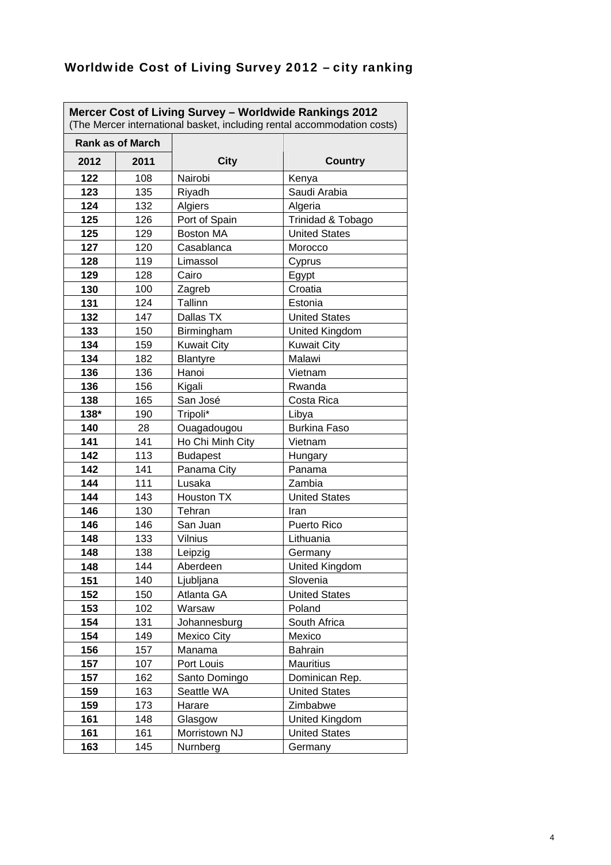| Mercer Cost of Living Survey - Worldwide Rankings 2012<br>(The Mercer international basket, including rental accommodation costs) |                         |                    |                       |
|-----------------------------------------------------------------------------------------------------------------------------------|-------------------------|--------------------|-----------------------|
|                                                                                                                                   | <b>Rank as of March</b> |                    |                       |
| 2012                                                                                                                              | 2011                    | <b>City</b>        | <b>Country</b>        |
| 122                                                                                                                               | 108                     | Nairobi            | Kenya                 |
| 123                                                                                                                               | 135                     | Riyadh             | Saudi Arabia          |
| 124                                                                                                                               | 132                     | Algiers            | Algeria               |
| 125                                                                                                                               | 126                     | Port of Spain      | Trinidad & Tobago     |
| 125                                                                                                                               | 129                     | <b>Boston MA</b>   | <b>United States</b>  |
| 127                                                                                                                               | 120                     | Casablanca         | Morocco               |
| 128                                                                                                                               | 119                     | Limassol           | Cyprus                |
| 129                                                                                                                               | 128                     | Cairo              | Egypt                 |
| 130                                                                                                                               | 100                     | Zagreb             | Croatia               |
| 131                                                                                                                               | 124                     | Tallinn            | Estonia               |
| 132                                                                                                                               | 147                     | Dallas TX          | <b>United States</b>  |
| 133                                                                                                                               | 150                     | Birmingham         | United Kingdom        |
| 134                                                                                                                               | 159                     | <b>Kuwait City</b> | <b>Kuwait City</b>    |
| 134                                                                                                                               | 182                     | <b>Blantyre</b>    | Malawi                |
| 136                                                                                                                               | 136                     | Hanoi              | Vietnam               |
| 136                                                                                                                               | 156                     | Kigali             | Rwanda                |
| 138                                                                                                                               | 165                     | San José           | Costa Rica            |
| 138*                                                                                                                              | 190                     | Tripoli*           | Libya                 |
| 140                                                                                                                               | 28                      | Ouagadougou        | <b>Burkina Faso</b>   |
| 141                                                                                                                               | 141                     | Ho Chi Minh City   | Vietnam               |
| 142                                                                                                                               | 113                     | <b>Budapest</b>    | Hungary               |
| 142                                                                                                                               | 141                     | Panama City        | Panama                |
| 144                                                                                                                               | 111                     | Lusaka             | Zambia                |
| 144                                                                                                                               | 143                     | <b>Houston TX</b>  | <b>United States</b>  |
| 146                                                                                                                               | 130                     | Tehran             | Iran                  |
| 146                                                                                                                               | 146                     | San Juan           | Puerto Rico           |
| 148                                                                                                                               | 133                     | <b>Vilnius</b>     | Lithuania             |
| 148                                                                                                                               | 138                     | Leipzig            | Germany               |
| 148                                                                                                                               | 144                     | Aberdeen           | <b>United Kingdom</b> |
| 151                                                                                                                               | 140                     | Ljubljana          | Slovenia              |
| 152                                                                                                                               | 150                     | Atlanta GA         | <b>United States</b>  |
| 153                                                                                                                               | 102                     | Warsaw             | Poland                |
| 154                                                                                                                               | 131                     | Johannesburg       | South Africa          |
| 154                                                                                                                               | 149                     | <b>Mexico City</b> | Mexico                |
| 156                                                                                                                               | 157                     | Manama             | <b>Bahrain</b>        |
| 157                                                                                                                               | 107                     | Port Louis         | Mauritius             |
| 157                                                                                                                               | 162                     | Santo Domingo      | Dominican Rep.        |
| 159                                                                                                                               | 163                     | Seattle WA         | <b>United States</b>  |
| 159                                                                                                                               | 173                     | Harare             | Zimbabwe              |
| 161                                                                                                                               | 148                     | Glasgow            | United Kingdom        |
| 161                                                                                                                               | 161                     | Morristown NJ      | <b>United States</b>  |
| 163                                                                                                                               | 145                     | Nurnberg           | Germany               |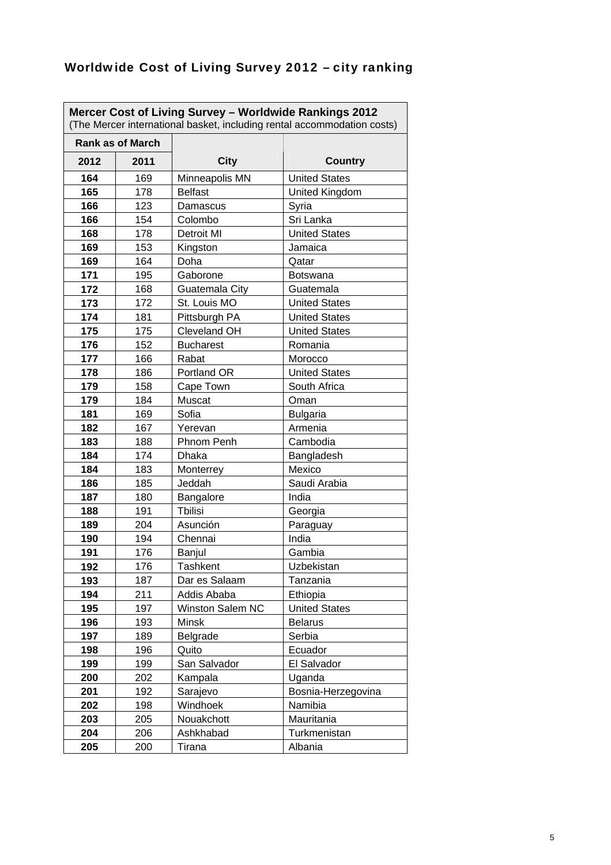| (The Mercer international basket, including rental accommodation costs) | Rank as of March |                  |                      |
|-------------------------------------------------------------------------|------------------|------------------|----------------------|
|                                                                         |                  |                  |                      |
| 2012                                                                    | 2011             | <b>City</b>      | <b>Country</b>       |
| 164                                                                     | 169              | Minneapolis MN   | <b>United States</b> |
| 165                                                                     | 178              | <b>Belfast</b>   | United Kingdom       |
| 166                                                                     | 123              | Damascus         | Syria                |
| 166                                                                     | 154              | Colombo          | Sri Lanka            |
| 168                                                                     | 178              | Detroit MI       | <b>United States</b> |
| 169                                                                     | 153              | Kingston         | Jamaica              |
| 169                                                                     | 164              | Doha             | Qatar                |
| 171                                                                     | 195              | Gaborone         | <b>Botswana</b>      |
| 172                                                                     | 168              | Guatemala City   | Guatemala            |
| 173                                                                     | 172              | St. Louis MO     | <b>United States</b> |
| 174                                                                     | 181              | Pittsburgh PA    | <b>United States</b> |
| 175                                                                     | 175              | Cleveland OH     | <b>United States</b> |
| 176                                                                     | 152              | <b>Bucharest</b> | Romania              |
| 177                                                                     | 166              | Rabat            | Morocco              |
| 178                                                                     | 186              | Portland OR      | <b>United States</b> |
| 179                                                                     | 158              | Cape Town        | South Africa         |
| 179                                                                     | 184              | Muscat           | Oman                 |
| 181                                                                     | 169              | Sofia            | <b>Bulgaria</b>      |
| 182                                                                     | 167              | Yerevan          | Armenia              |
| 183                                                                     | 188              | Phnom Penh       | Cambodia             |
| 184                                                                     | 174              | Dhaka            | Bangladesh           |
| 184                                                                     | 183              | Monterrey        | Mexico               |
| 186                                                                     | 185              | Jeddah           | Saudi Arabia         |
| 187                                                                     | 180              | Bangalore        | India                |
| 188                                                                     | 191              | <b>Tbilisi</b>   | Georgia              |
| 189                                                                     | 204              | Asunción         | Paraguay             |
| 190                                                                     | 194              | Chennai          | India                |
| 191                                                                     | 176              | Banjul           | Gambia               |
| 192                                                                     | 176              | Tashkent         | Uzbekistan           |
| 193                                                                     | 187              | Dar es Salaam    | Tanzania             |
| 194                                                                     | 211              | Addis Ababa      | Ethiopia             |
| 195                                                                     | 197              | Winston Salem NC | <b>United States</b> |
| 196                                                                     | 193              | Minsk            | <b>Belarus</b>       |
| 197                                                                     | 189              | Belgrade         | Serbia               |
| 198                                                                     | 196              | Quito            | Ecuador              |
| 199                                                                     | 199              | San Salvador     | El Salvador          |
| 200                                                                     | 202              | Kampala          | Uganda               |
| 201                                                                     | 192              | Sarajevo         | Bosnia-Herzegovina   |
| 202                                                                     | 198              | Windhoek         | Namibia              |
| 203                                                                     | 205              | Nouakchott       | Mauritania           |
| 204                                                                     |                  |                  |                      |
|                                                                         | 206              | Ashkhabad        | Turkmenistan         |
| 205                                                                     | 200              | Tirana           | Albania              |